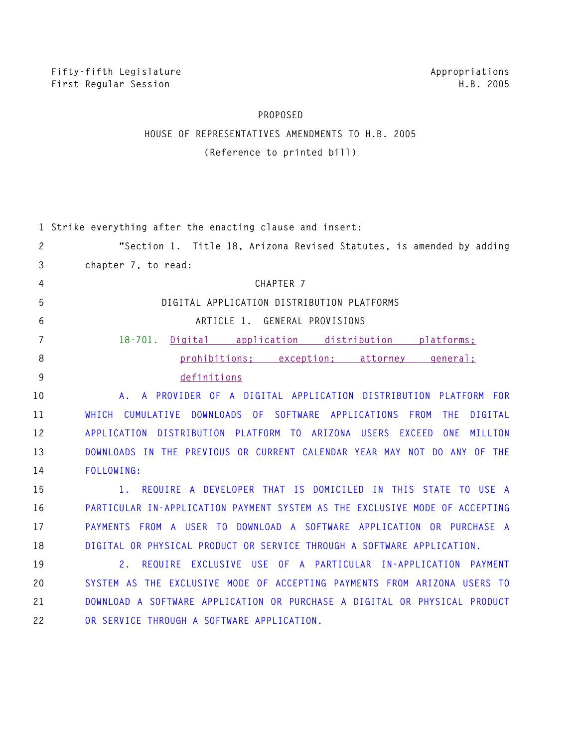## **PROPOSED**

## **HOUSE OF REPRESENTATIVES AMENDMENTS TO H.B. 2005 (Reference to printed bill)**

|                       | 1 Strike everything after the enacting clause and insert:                                                   |
|-----------------------|-------------------------------------------------------------------------------------------------------------|
| $\mathbf{2}^{\prime}$ | "Section 1. Title 18, Arizona Revised Statutes, is amended by adding                                        |
| 3                     | chapter 7, to read:                                                                                         |
| 4                     | CHAPTER 7                                                                                                   |
| 5                     | DIGITAL APPLICATION DISTRIBUTION PLATFORMS                                                                  |
| 6                     | ARTICLE 1. GENERAL PROVISIONS                                                                               |
| $\overline{7}$        | Digital application distribution platforms:<br>$18 - 701$ .                                                 |
| 8                     | prohibitions: exception: attorney<br><u>general:</u>                                                        |
| 9                     | definitions                                                                                                 |
| 10                    | A PROVIDER OF A DIGITAL APPLICATION DISTRIBUTION PLATFORM FOR<br>Α.                                         |
| 11                    | CUMULATIVE<br>DOWNLOADS OF<br>SOFTWARE APPLICATIONS<br>FROM<br><b>WHICH</b><br><b>THE</b><br><b>DIGITAL</b> |
| 12                    | APPLICATION DISTRIBUTION PLATFORM TO ARIZONA USERS EXCEED ONE<br>MILLION                                    |
| 13                    | DOWNLOADS IN THE PREVIOUS OR CURRENT CALENDAR YEAR MAY NOT DO ANY OF THE                                    |
| 14                    | FOLLOWING:                                                                                                  |
| 15                    | REQUIRE A DEVELOPER THAT IS DOMICILED IN THIS STATE TO USE A<br>1.                                          |
| 16                    | PARTICULAR IN-APPLICATION PAYMENT SYSTEM AS THE EXCLUSIVE MODE OF ACCEPTING                                 |
| 17                    | PAYMENTS FROM A USER TO DOWNLOAD A SOFTWARE APPLICATION OR PURCHASE A                                       |
| 18                    | DIGITAL OR PHYSICAL PRODUCT OR SERVICE THROUGH A SOFTWARE APPLICATION.                                      |
| 19                    | REQUIRE EXCLUSIVE USE OF A PARTICULAR IN-APPLICATION PAYMENT<br>2.                                          |
| 20                    | SYSTEM AS THE EXCLUSIVE MODE OF ACCEPTING PAYMENTS FROM ARIZONA USERS TO                                    |
| 21                    | DOWNLOAD A SOFTWARE APPLICATION OR PURCHASE A DIGITAL OR PHYSICAL PRODUCT                                   |
| 22                    | OR SERVICE THROUGH A SOFTWARE APPLICATION.                                                                  |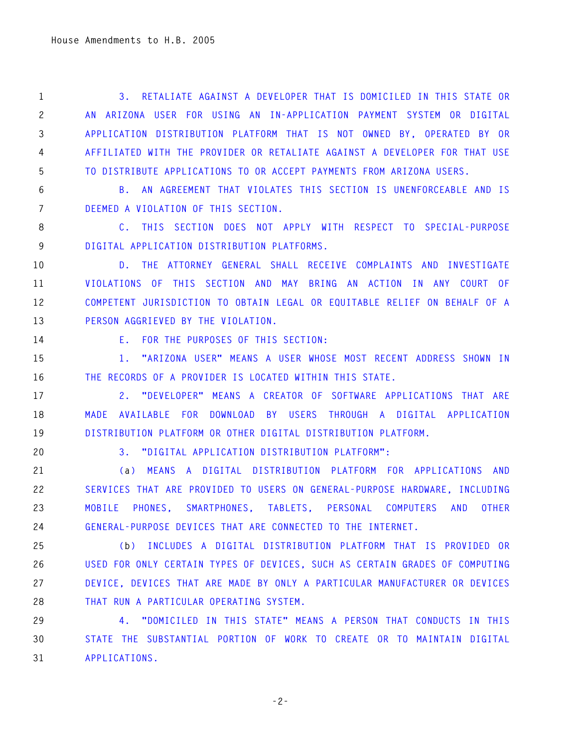**1 3. RETALIATE AGAINST A DEVELOPER THAT IS DOMICILED IN THIS STATE OR 2 AN ARIZONA USER FOR USING AN IN-APPLICATION PAYMENT SYSTEM OR DIGITAL 3 APPLICATION DISTRIBUTION PLATFORM THAT IS NOT OWNED BY, OPERATED BY OR 4 AFFILIATED WITH THE PROVIDER OR RETALIATE AGAINST A DEVELOPER FOR THAT USE 5 TO DISTRIBUTE APPLICATIONS TO OR ACCEPT PAYMENTS FROM ARIZONA USERS.** 

**6 B. AN AGREEMENT THAT VIOLATES THIS SECTION IS UNENFORCEABLE AND IS 7 DEEMED A VIOLATION OF THIS SECTION.** 

**8 C. THIS SECTION DOES NOT APPLY WITH RESPECT TO SPECIAL-PURPOSE 9 DIGITAL APPLICATION DISTRIBUTION PLATFORMS.** 

**10 D. THE ATTORNEY GENERAL SHALL RECEIVE COMPLAINTS AND INVESTIGATE 11 VIOLATIONS OF THIS SECTION AND MAY BRING AN ACTION IN ANY COURT OF 12 COMPETENT JURISDICTION TO OBTAIN LEGAL OR EQUITABLE RELIEF ON BEHALF OF A 13 PERSON AGGRIEVED BY THE VIOLATION.** 

**14 E. FOR THE PURPOSES OF THIS SECTION:** 

**15 1. "ARIZONA USER" MEANS A USER WHOSE MOST RECENT ADDRESS SHOWN IN 16 THE RECORDS OF A PROVIDER IS LOCATED WITHIN THIS STATE.** 

**17 2. "DEVELOPER" MEANS A CREATOR OF SOFTWARE APPLICATIONS THAT ARE 18 MADE AVAILABLE FOR DOWNLOAD BY USERS THROUGH A DIGITAL APPLICATION 19 DISTRIBUTION PLATFORM OR OTHER DIGITAL DISTRIBUTION PLATFORM.** 

**20 3. "DIGITAL APPLICATION DISTRIBUTION PLATFORM":** 

**21 (a) MEANS A DIGITAL DISTRIBUTION PLATFORM FOR APPLICATIONS AND 22 SERVICES THAT ARE PROVIDED TO USERS ON GENERAL-PURPOSE HARDWARE, INCLUDING 23 MOBILE PHONES, SMARTPHONES, TABLETS, PERSONAL COMPUTERS AND OTHER 24 GENERAL-PURPOSE DEVICES THAT ARE CONNECTED TO THE INTERNET.** 

**25 (b) INCLUDES A DIGITAL DISTRIBUTION PLATFORM THAT IS PROVIDED OR 26 USED FOR ONLY CERTAIN TYPES OF DEVICES, SUCH AS CERTAIN GRADES OF COMPUTING 27 DEVICE, DEVICES THAT ARE MADE BY ONLY A PARTICULAR MANUFACTURER OR DEVICES 28 THAT RUN A PARTICULAR OPERATING SYSTEM.** 

**29 4. "DOMICILED IN THIS STATE" MEANS A PERSON THAT CONDUCTS IN THIS 30 STATE THE SUBSTANTIAL PORTION OF WORK TO CREATE OR TO MAINTAIN DIGITAL 31 APPLICATIONS.** 

**-2-**